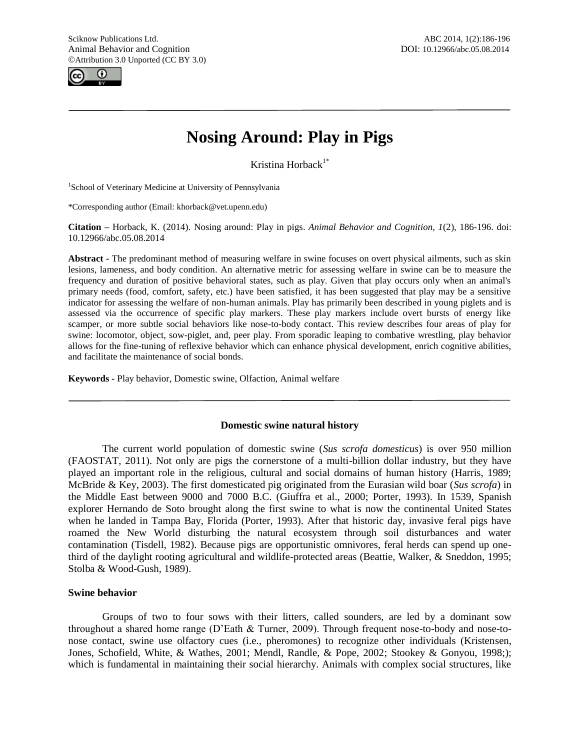

# **Nosing Around: Play in Pigs**

Kristina Horback<sup>1\*</sup>

<sup>1</sup>School of Veterinary Medicine at University of Pennsylvania

\*Corresponding author (Email: khorback@vet.upenn.edu)

**Citation –** Horback, K. (2014). Nosing around: Play in pigs. *Animal Behavior and Cognition, 1*(2), 186-196. doi: 10.12966/abc.05.08.2014

**Abstract -** The predominant method of measuring welfare in swine focuses on overt physical ailments, such as skin lesions, lameness, and body condition. An alternative metric for assessing welfare in swine can be to measure the frequency and duration of positive behavioral states, such as play. Given that play occurs only when an animal's primary needs (food, comfort, safety, etc.) have been satisfied, it has been suggested that play may be a sensitive indicator for assessing the welfare of non-human animals. Play has primarily been described in young piglets and is assessed via the occurrence of specific play markers. These play markers include overt bursts of energy like scamper, or more subtle social behaviors like nose-to-body contact. This review describes four areas of play for swine: locomotor, object, sow-piglet, and, peer play. From sporadic leaping to combative wrestling, play behavior allows for the fine-tuning of reflexive behavior which can enhance physical development, enrich cognitive abilities, and facilitate the maintenance of social bonds.

**Keywords -** Play behavior, Domestic swine, Olfaction, Animal welfare

## **Domestic swine natural history**

The current world population of domestic swine (*Sus scrofa domesticus*) is over 950 million (FAOSTAT, 2011). Not only are pigs the cornerstone of a multi-billion dollar industry, but they have played an important role in the religious, cultural and social domains of human history (Harris, 1989; McBride & Key, 2003). The first domesticated pig originated from the Eurasian wild boar (*Sus scrofa*) in the Middle East between 9000 and 7000 B.C. (Giuffra et al., 2000; Porter, 1993). In 1539, Spanish explorer Hernando de Soto brought along the first swine to what is now the continental United States when he landed in Tampa Bay, Florida (Porter, 1993). After that historic day, invasive feral pigs have roamed the New World disturbing the natural ecosystem through soil disturbances and water contamination (Tisdell, 1982). Because pigs are opportunistic omnivores, feral herds can spend up onethird of the daylight rooting agricultural and wildlife-protected areas (Beattie, Walker, & Sneddon, 1995; Stolba & Wood-Gush, 1989).

# **Swine behavior**

Groups of two to four sows with their litters, called sounders, are led by a dominant sow throughout a shared home range (D"Eath & Turner, 2009). Through frequent nose-to-body and nose-tonose contact, swine use olfactory cues (i.e., pheromones) to recognize other individuals (Kristensen, Jones, Schofield, White, & Wathes, 2001; Mendl, Randle, & Pope, 2002; Stookey & Gonyou, 1998;); which is fundamental in maintaining their social hierarchy. Animals with complex social structures, like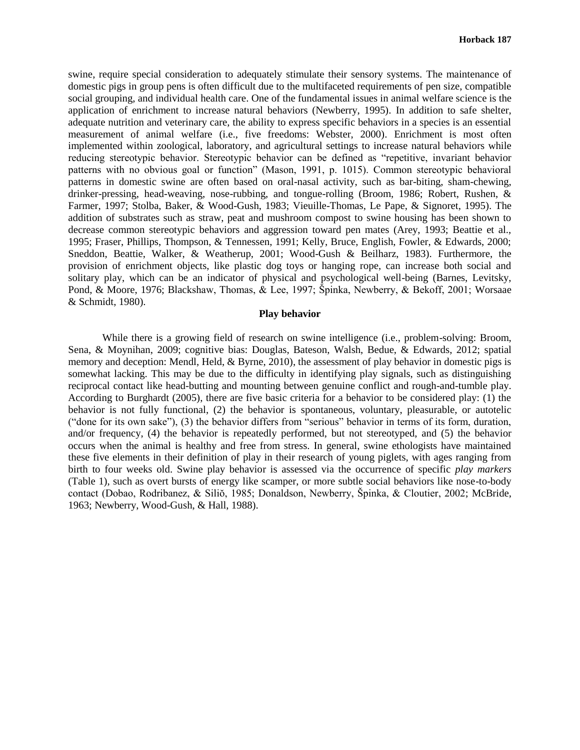swine, require special consideration to adequately stimulate their sensory systems. The maintenance of domestic pigs in group pens is often difficult due to the multifaceted requirements of pen size, compatible social grouping, and individual health care. One of the fundamental issues in animal welfare science is the application of enrichment to increase natural behaviors (Newberry, 1995). In addition to safe shelter, adequate nutrition and veterinary care, the ability to express specific behaviors in a species is an essential measurement of animal welfare (i.e., five freedoms: Webster, 2000). Enrichment is most often implemented within zoological, laboratory, and agricultural settings to increase natural behaviors while reducing stereotypic behavior. Stereotypic behavior can be defined as "repetitive, invariant behavior patterns with no obvious goal or function" (Mason, 1991, p. 1015). Common stereotypic behavioral patterns in domestic swine are often based on oral-nasal activity, such as bar-biting, sham-chewing, drinker-pressing, head-weaving, nose-rubbing, and tongue-rolling (Broom, 1986; Robert, Rushen, & Farmer, 1997; Stolba, Baker, & Wood-Gush, 1983; Vieuille-Thomas, Le Pape, & Signoret, 1995). The addition of substrates such as straw, peat and mushroom compost to swine housing has been shown to decrease common stereotypic behaviors and aggression toward pen mates (Arey, 1993; Beattie et al., 1995; Fraser, Phillips, Thompson, & Tennessen, 1991; Kelly, Bruce, English, Fowler, & Edwards, 2000; Sneddon, Beattie, Walker, & Weatherup, 2001; Wood-Gush & Beilharz, 1983). Furthermore, the provision of enrichment objects, like plastic dog toys or hanging rope, can increase both social and solitary play, which can be an indicator of physical and psychological well-being (Barnes, Levitsky, Pond, & Moore, 1976; Blackshaw, Thomas, & Lee, 1997; Špinka, Newberry, & Bekoff, 2001; Worsaae & Schmidt, 1980).

## **Play behavior**

While there is a growing field of research on swine intelligence (*i.e.*, problem-solving: Broom, Sena, & Moynihan, 2009; cognitive bias: Douglas, Bateson, Walsh, Bedue, & Edwards, 2012; spatial memory and deception: Mendl, Held, & Byrne, 2010), the assessment of play behavior in domestic pigs is somewhat lacking. This may be due to the difficulty in identifying play signals, such as distinguishing reciprocal contact like head-butting and mounting between genuine conflict and rough-and-tumble play. According to Burghardt (2005), there are five basic criteria for a behavior to be considered play: (1) the behavior is not fully functional, (2) the behavior is spontaneous, voluntary, pleasurable, or autotelic ("done for its own sake"), (3) the behavior differs from "serious" behavior in terms of its form, duration, and/or frequency, (4) the behavior is repeatedly performed, but not stereotyped, and (5) the behavior occurs when the animal is healthy and free from stress. In general, swine ethologists have maintained these five elements in their definition of play in their research of young piglets, with ages ranging from birth to four weeks old. Swine play behavior is assessed via the occurrence of specific *play markers*  (Table 1), such as overt bursts of energy like scamper, or more subtle social behaviors like nose-to-body contact (Dobao, Rodribanez, & Siliŏ, 1985; Donaldson, Newberry, Špinka, & Cloutier, 2002; McBride, 1963; Newberry, Wood-Gush, & Hall, 1988).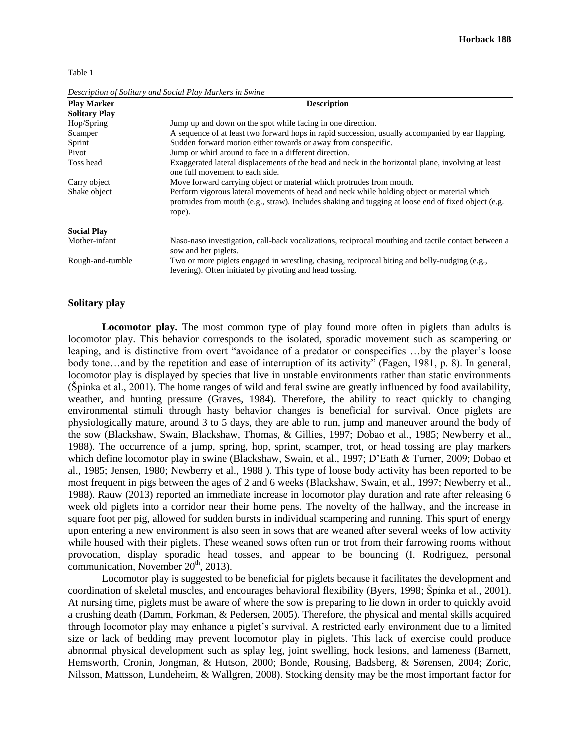Table 1

| <b>Play Marker</b>   | <b>Description</b>                                                                                                                                                                                          |
|----------------------|-------------------------------------------------------------------------------------------------------------------------------------------------------------------------------------------------------------|
| <b>Solitary Play</b> |                                                                                                                                                                                                             |
| Hop/Spring           | Jump up and down on the spot while facing in one direction.                                                                                                                                                 |
| Scamper              | A sequence of at least two forward hops in rapid succession, usually accompanied by ear flapping.                                                                                                           |
| Sprint               | Sudden forward motion either towards or away from conspecific.                                                                                                                                              |
| Pivot                | Jump or whirl around to face in a different direction.                                                                                                                                                      |
| Toss head            | Exaggerated lateral displacements of the head and neck in the horizontal plane, involving at least<br>one full movement to each side.                                                                       |
| Carry object         | Move forward carrying object or material which protrudes from mouth.                                                                                                                                        |
| Shake object         | Perform vigorous lateral movements of head and neck while holding object or material which<br>protrudes from mouth (e.g., straw). Includes shaking and tugging at loose end of fixed object (e.g.<br>rope). |
| <b>Social Play</b>   |                                                                                                                                                                                                             |
| Mother-infant        | Naso-naso investigation, call-back vocalizations, reciprocal mouthing and tactile contact between a<br>sow and her piglets.                                                                                 |
| Rough-and-tumble     | Two or more piglets engaged in wrestling, chasing, reciprocal biting and belly-nudging (e.g.,<br>levering). Often initiated by pivoting and head tossing.                                                   |

*Description of Solitary and Social Play Markers in Swine*

# **Solitary play**

**Locomotor play.** The most common type of play found more often in piglets than adults is locomotor play. This behavior corresponds to the isolated, sporadic movement such as scampering or leaping, and is distinctive from overt "avoidance of a predator or conspecifics …by the player"s loose body tone…and by the repetition and ease of interruption of its activity" (Fagen, 1981, p. 8). In general, locomotor play is displayed by species that live in unstable environments rather than static environments (Špinka et al., 2001). The home ranges of wild and feral swine are greatly influenced by food availability, weather, and hunting pressure (Graves, 1984). Therefore, the ability to react quickly to changing environmental stimuli through hasty behavior changes is beneficial for survival. Once piglets are physiologically mature, around 3 to 5 days, they are able to run, jump and maneuver around the body of the sow (Blackshaw, Swain, Blackshaw, Thomas, & Gillies, 1997; Dobao et al., 1985; Newberry et al., 1988). The occurrence of a jump, spring, hop, sprint, scamper, trot, or head tossing are play markers which define locomotor play in swine (Blackshaw, Swain, et al., 1997; D"Eath & Turner, 2009; Dobao et al., 1985; Jensen, 1980; Newberry et al., 1988 ). This type of loose body activity has been reported to be most frequent in pigs between the ages of 2 and 6 weeks (Blackshaw, Swain, et al., 1997; Newberry et al., 1988). Rauw (2013) reported an immediate increase in locomotor play duration and rate after releasing 6 week old piglets into a corridor near their home pens. The novelty of the hallway, and the increase in square foot per pig, allowed for sudden bursts in individual scampering and running. This spurt of energy upon entering a new environment is also seen in sows that are weaned after several weeks of low activity while housed with their piglets. These weaned sows often run or trot from their farrowing rooms without provocation, display sporadic head tosses, and appear to be bouncing (I. Rodriguez, personal communication, November  $20<sup>th</sup>$ , 2013).

Locomotor play is suggested to be beneficial for piglets because it facilitates the development and coordination of skeletal muscles, and encourages behavioral flexibility (Byers, 1998; Špinka et al., 2001). At nursing time, piglets must be aware of where the sow is preparing to lie down in order to quickly avoid a crushing death (Damm, Forkman, & Pedersen, 2005). Therefore, the physical and mental skills acquired through locomotor play may enhance a piglet"s survival. A restricted early environment due to a limited size or lack of bedding may prevent locomotor play in piglets. This lack of exercise could produce abnormal physical development such as splay leg, joint swelling, hock lesions, and lameness (Barnett, Hemsworth, Cronin, Jongman, & Hutson, 2000; Bonde, Rousing, Badsberg, & Sørensen, 2004; Zoric, Nilsson, Mattsson, Lundeheim, & Wallgren, 2008). Stocking density may be the most important factor for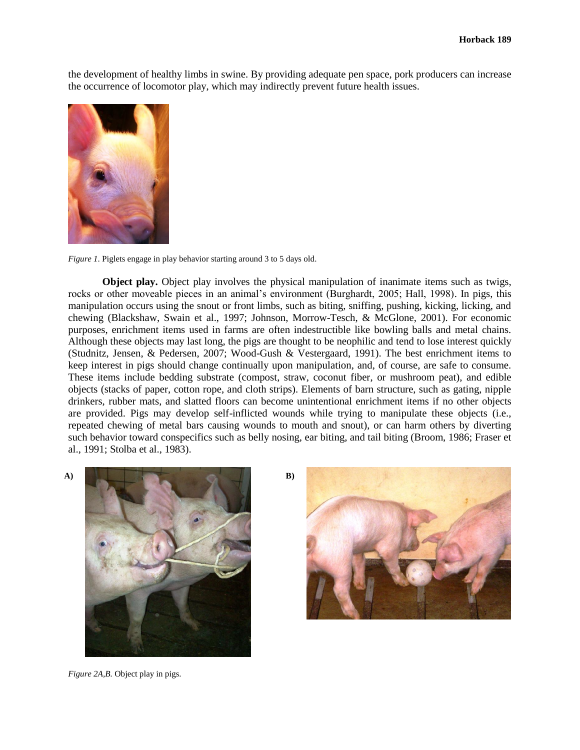the development of healthy limbs in swine. By providing adequate pen space, pork producers can increase the occurrence of locomotor play, which may indirectly prevent future health issues.



*Figure 1*. Piglets engage in play behavior starting around 3 to 5 days old.

**Object play.** Object play involves the physical manipulation of inanimate items such as twigs, rocks or other moveable pieces in an animal"s environment (Burghardt, 2005; Hall, 1998). In pigs, this manipulation occurs using the snout or front limbs, such as biting, sniffing, pushing, kicking, licking, and chewing (Blackshaw, Swain et al., 1997; Johnson, Morrow-Tesch, & McGlone, 2001). For economic purposes, enrichment items used in farms are often indestructible like bowling balls and metal chains. Although these objects may last long, the pigs are thought to be neophilic and tend to lose interest quickly (Studnitz, Jensen, & Pedersen, 2007; Wood-Gush & Vestergaard, 1991). The best enrichment items to keep interest in pigs should change continually upon manipulation, and, of course, are safe to consume. These items include bedding substrate (compost, straw, coconut fiber, or mushroom peat), and edible objects (stacks of paper, cotton rope, and cloth strips). Elements of barn structure, such as gating, nipple drinkers, rubber mats, and slatted floors can become unintentional enrichment items if no other objects are provided. Pigs may develop self-inflicted wounds while trying to manipulate these objects (i.e., repeated chewing of metal bars causing wounds to mouth and snout), or can harm others by diverting such behavior toward conspecifics such as belly nosing, ear biting, and tail biting (Broom, 1986; Fraser et al., 1991; Stolba et al., 1983).



*Figure 2A,B.* Object play in pigs.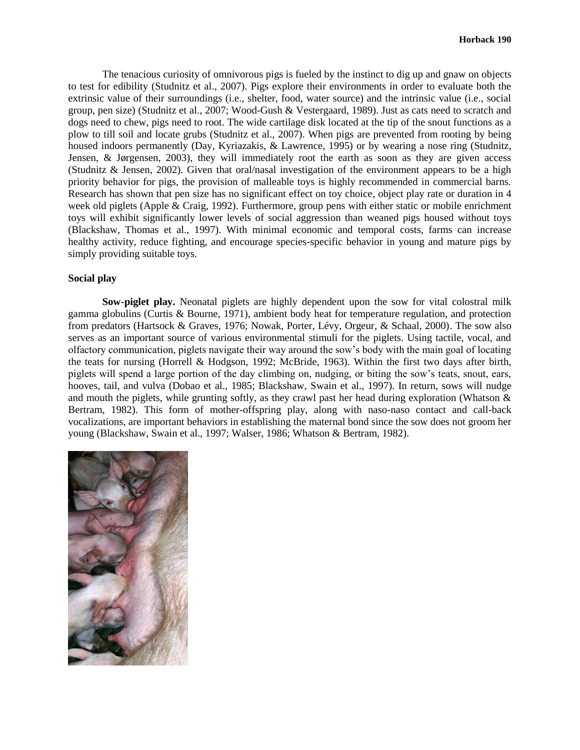The tenacious curiosity of omnivorous pigs is fueled by the instinct to dig up and gnaw on objects to test for edibility (Studnitz et al., 2007). Pigs explore their environments in order to evaluate both the extrinsic value of their surroundings (i.e., shelter, food, water source) and the intrinsic value (i.e., social group, pen size) (Studnitz et al., 2007; Wood-Gush & Vestergaard, 1989). Just as cats need to scratch and dogs need to chew, pigs need to root. The wide cartilage disk located at the tip of the snout functions as a plow to till soil and locate grubs (Studnitz et al., 2007). When pigs are prevented from rooting by being housed indoors permanently (Day, Kyriazakis, & Lawrence, 1995) or by wearing a nose ring (Studnitz, Jensen, & Jørgensen, 2003), they will immediately root the earth as soon as they are given access (Studnitz & Jensen, 2002). Given that oral/nasal investigation of the environment appears to be a high priority behavior for pigs, the provision of malleable toys is highly recommended in commercial barns. Research has shown that pen size has no significant effect on toy choice, object play rate or duration in 4 week old piglets (Apple & Craig, 1992). Furthermore, group pens with either static or mobile enrichment toys will exhibit significantly lower levels of social aggression than weaned pigs housed without toys (Blackshaw, Thomas et al., 1997). With minimal economic and temporal costs, farms can increase healthy activity, reduce fighting, and encourage species-specific behavior in young and mature pigs by simply providing suitable toys.

### **Social play**

**Sow-piglet play.** Neonatal piglets are highly dependent upon the sow for vital colostral milk gamma globulins (Curtis & Bourne, 1971), ambient body heat for temperature regulation, and protection from predators (Hartsock & Graves, 1976; Nowak, Porter, Lévy, Orgeur, & Schaal, 2000). The sow also serves as an important source of various environmental stimuli for the piglets. Using tactile, vocal, and olfactory communication, piglets navigate their way around the sow"s body with the main goal of locating the teats for nursing (Horrell & Hodgson, 1992; McBride, 1963). Within the first two days after birth, piglets will spend a large portion of the day climbing on, nudging, or biting the sow"s teats, snout, ears, hooves, tail, and vulva (Dobao et al., 1985; Blackshaw, Swain et al., 1997). In return, sows will nudge and mouth the piglets, while grunting softly, as they crawl past her head during exploration (Whatson  $\&$ Bertram, 1982). This form of mother-offspring play, along with naso-naso contact and call-back vocalizations, are important behaviors in establishing the maternal bond since the sow does not groom her young (Blackshaw, Swain et al., 1997; Walser, 1986; Whatson & Bertram, 1982).

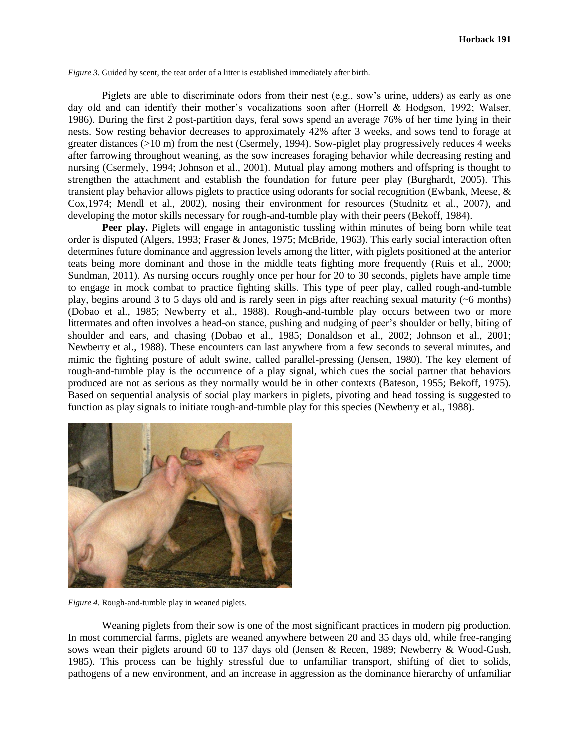*Figure 3*. Guided by scent, the teat order of a litter is established immediately after birth.

Piglets are able to discriminate odors from their nest (e.g., sow"s urine, udders) as early as one day old and can identify their mother"s vocalizations soon after (Horrell & Hodgson, 1992; Walser, 1986). During the first 2 post-partition days, feral sows spend an average 76% of her time lying in their nests. Sow resting behavior decreases to approximately 42% after 3 weeks, and sows tend to forage at greater distances (>10 m) from the nest (Csermely, 1994). Sow-piglet play progressively reduces 4 weeks after farrowing throughout weaning, as the sow increases foraging behavior while decreasing resting and nursing (Csermely, 1994; Johnson et al., 2001). Mutual play among mothers and offspring is thought to strengthen the attachment and establish the foundation for future peer play (Burghardt, 2005). This transient play behavior allows piglets to practice using odorants for social recognition (Ewbank, Meese, & Cox,1974; Mendl et al., 2002), nosing their environment for resources (Studnitz et al., 2007), and developing the motor skills necessary for rough-and-tumble play with their peers (Bekoff, 1984).

**Peer play.** Piglets will engage in antagonistic tussling within minutes of being born while teat order is disputed (Algers, 1993; Fraser & Jones, 1975; McBride, 1963). This early social interaction often determines future dominance and aggression levels among the litter, with piglets positioned at the anterior teats being more dominant and those in the middle teats fighting more frequently (Ruis et al., 2000; Sundman, 2011). As nursing occurs roughly once per hour for 20 to 30 seconds, piglets have ample time to engage in mock combat to practice fighting skills. This type of peer play, called rough-and-tumble play, begins around 3 to 5 days old and is rarely seen in pigs after reaching sexual maturity (~6 months) (Dobao et al., 1985; Newberry et al., 1988). Rough-and-tumble play occurs between two or more littermates and often involves a head-on stance, pushing and nudging of peer's shoulder or belly, biting of shoulder and ears, and chasing (Dobao et al., 1985; Donaldson et al., 2002; Johnson et al., 2001; Newberry et al., 1988). These encounters can last anywhere from a few seconds to several minutes, and mimic the fighting posture of adult swine, called parallel-pressing (Jensen, 1980). The key element of rough-and-tumble play is the occurrence of a play signal, which cues the social partner that behaviors produced are not as serious as they normally would be in other contexts (Bateson, 1955; Bekoff, 1975). Based on sequential analysis of social play markers in piglets, pivoting and head tossing is suggested to function as play signals to initiate rough-and-tumble play for this species (Newberry et al., 1988).



*Figure 4*. Rough-and-tumble play in weaned piglets.

Weaning piglets from their sow is one of the most significant practices in modern pig production. In most commercial farms, piglets are weaned anywhere between 20 and 35 days old, while free-ranging sows wean their piglets around 60 to 137 days old (Jensen & Recen, 1989; Newberry & Wood-Gush, 1985). This process can be highly stressful due to unfamiliar transport, shifting of diet to solids, pathogens of a new environment, and an increase in aggression as the dominance hierarchy of unfamiliar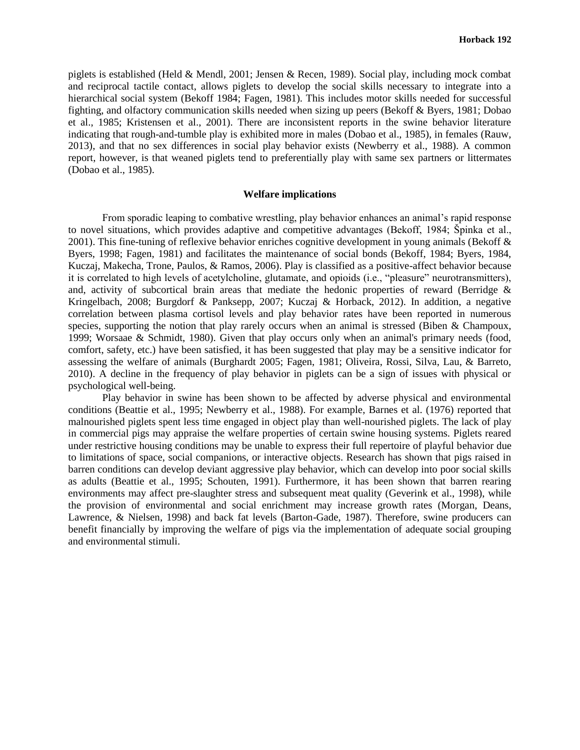piglets is established (Held & Mendl, 2001; Jensen & Recen, 1989). Social play, including mock combat and reciprocal tactile contact, allows piglets to develop the social skills necessary to integrate into a hierarchical social system (Bekoff 1984; Fagen, 1981). This includes motor skills needed for successful fighting, and olfactory communication skills needed when sizing up peers (Bekoff & Byers, 1981; Dobao et al., 1985; Kristensen et al., 2001). There are inconsistent reports in the swine behavior literature indicating that rough-and-tumble play is exhibited more in males (Dobao et al., 1985), in females (Rauw, 2013), and that no sex differences in social play behavior exists (Newberry et al., 1988). A common report, however, is that weaned piglets tend to preferentially play with same sex partners or littermates (Dobao et al., 1985).

## **Welfare implications**

From sporadic leaping to combative wrestling, play behavior enhances an animal"s rapid response to novel situations, which provides adaptive and competitive advantages (Bekoff, 1984; Špinka et al., 2001). This fine-tuning of reflexive behavior enriches cognitive development in young animals (Bekoff  $\&$ Byers, 1998; Fagen, 1981) and facilitates the maintenance of social bonds (Bekoff, 1984; Byers, 1984, Kuczaj, Makecha, Trone, Paulos, & Ramos, 2006). Play is classified as a positive-affect behavior because it is correlated to high levels of acetylcholine, glutamate, and opioids (i.e., "pleasure" neurotransmitters), and, activity of subcortical brain areas that mediate the hedonic properties of reward (Berridge & Kringelbach, 2008; Burgdorf & Panksepp, 2007; Kuczaj & Horback, 2012). In addition, a negative correlation between plasma cortisol levels and play behavior rates have been reported in numerous species, supporting the notion that play rarely occurs when an animal is stressed (Biben & Champoux, 1999; Worsaae & Schmidt, 1980). Given that play occurs only when an animal's primary needs (food, comfort, safety, etc.) have been satisfied, it has been suggested that play may be a sensitive indicator for assessing the welfare of animals (Burghardt 2005; Fagen, 1981; Oliveira, Rossi, Silva, Lau, & Barreto, 2010). A decline in the frequency of play behavior in piglets can be a sign of issues with physical or psychological well-being.

Play behavior in swine has been shown to be affected by adverse physical and environmental conditions (Beattie et al., 1995; Newberry et al., 1988). For example, Barnes et al. (1976) reported that malnourished piglets spent less time engaged in object play than well-nourished piglets. The lack of play in commercial pigs may appraise the welfare properties of certain swine housing systems. Piglets reared under restrictive housing conditions may be unable to express their full repertoire of playful behavior due to limitations of space, social companions, or interactive objects. Research has shown that pigs raised in barren conditions can develop deviant aggressive play behavior, which can develop into poor social skills as adults (Beattie et al., 1995; Schouten, 1991). Furthermore, it has been shown that barren rearing environments may affect pre-slaughter stress and subsequent meat quality (Geverink et al., 1998), while the provision of environmental and social enrichment may increase growth rates (Morgan, Deans, Lawrence, & Nielsen, 1998) and back fat levels (Barton-Gade, 1987). Therefore, swine producers can benefit financially by improving the welfare of pigs via the implementation of adequate social grouping and environmental stimuli.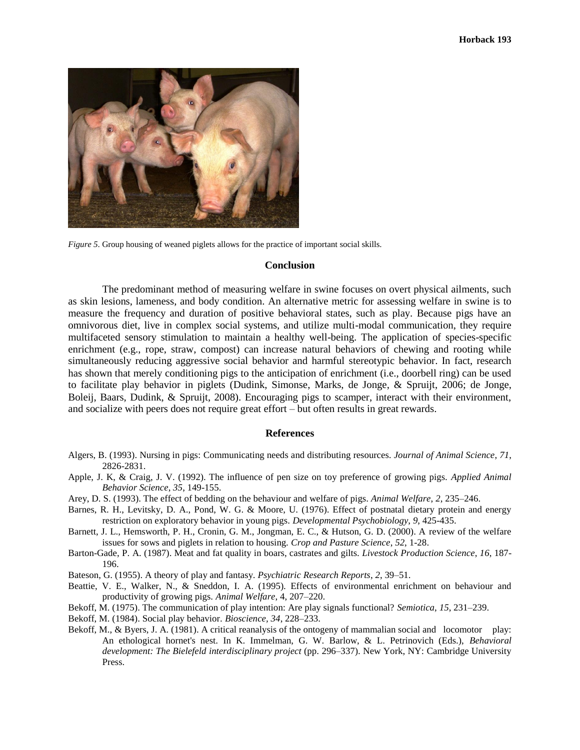

*Figure 5*. Group housing of weaned piglets allows for the practice of important social skills.

### **Conclusion**

The predominant method of measuring welfare in swine focuses on overt physical ailments, such as skin lesions, lameness, and body condition. An alternative metric for assessing welfare in swine is to measure the frequency and duration of positive behavioral states, such as play. Because pigs have an omnivorous diet, live in complex social systems, and utilize multi-modal communication, they require multifaceted sensory stimulation to maintain a healthy well-being. The application of species-specific enrichment (e.g., rope, straw, compost) can increase natural behaviors of chewing and rooting while simultaneously reducing aggressive social behavior and harmful stereotypic behavior. In fact, research has shown that merely conditioning pigs to the anticipation of enrichment (i.e., doorbell ring) can be used to facilitate play behavior in piglets (Dudink, Simonse, Marks, de Jonge, & Spruijt, 2006; de Jonge, Boleij, Baars, Dudink, & Spruijt, 2008). Encouraging pigs to scamper, interact with their environment, and socialize with peers does not require great effort – but often results in great rewards.

#### **References**

- Algers, B. (1993). Nursing in pigs: Communicating needs and distributing resources. *Journal of Animal Science*, *71*, 2826-2831.
- Apple, J. K, & Craig, J. V. (1992). The influence of pen size on toy preference of growing pigs. *Applied Animal Behavior Science*, *35*, 149-155.
- Arey, D. S. (1993). The effect of bedding on the behaviour and welfare of pigs. *Animal Welfare*, *2*, 235–246.
- Barnes, R. H., Levitsky, D. A., Pond, W. G. & Moore, U. (1976). Effect of postnatal dietary protein and energy restriction on exploratory behavior in young pigs. *Developmental Psychobiology*, *9*, 425-435.
- Barnett, J. L., Hemsworth, P. H., Cronin, G. M., Jongman, E. C., & Hutson, G. D. (2000). A review of the welfare issues for sows and piglets in relation to housing. *Crop and Pasture Science*, *52*, 1-28.
- Barton-Gade, P. A. (1987). Meat and fat quality in boars, castrates and gilts. *Livestock Production Science*, *16*, 187- 196.
- Bateson, G. (1955). A theory of play and fantasy. *Psychiatric Research Reports*, *2*, 39–51.
- Beattie, V. E., Walker, N., & Sneddon, I. A. (1995). Effects of environmental enrichment on behaviour and productivity of growing pigs. *Animal Welfare*, 4, 207–220.
- Bekoff, M. (1975). The communication of play intention: Are play signals functional? *Semiotica*, *15*, 231–239.
- Bekoff, M. (1984). Social play behavior. *Bioscience, 34*, 228–233.
- Bekoff, M., & Byers, J. A. (1981). A critical reanalysis of the ontogeny of mammalian social and locomotor play: An ethological hornet's nest. In K. Immelman, G. W. Barlow, & L. Petrinovich (Eds.), *Behavioral development: The Bielefeld interdisciplinary project* (pp. 296–337). New York, NY: Cambridge University Press.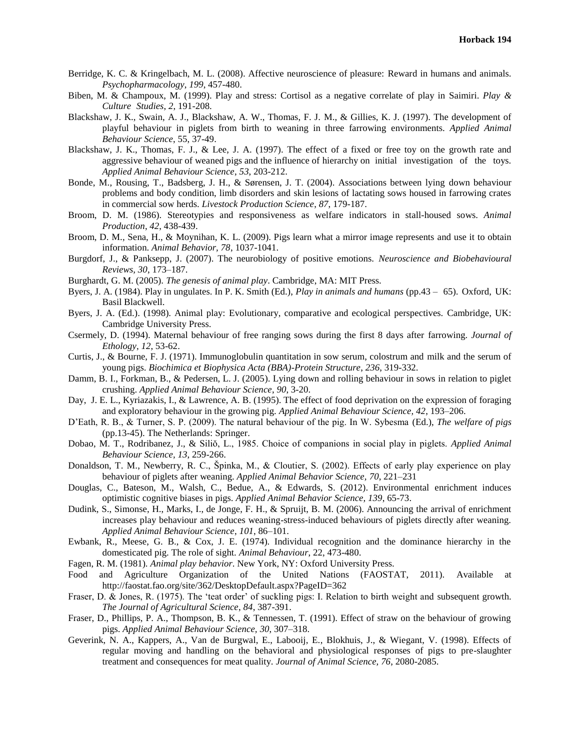- Berridge, K. C. & Kringelbach, M. L. (2008). Affective neuroscience of pleasure: Reward in humans and animals. *Psychopharmacology*, *199*, 457-480.
- Biben, M. & Champoux, M. (1999). Play and stress: Cortisol as a negative correlate of play in Saimiri. *Play & Culture Studies*, *2*, 191-208.
- Blackshaw, J. K., Swain, A. J., Blackshaw, A. W., Thomas, F. J. M., & Gillies, K. J. (1997). The development of playful behaviour in piglets from birth to weaning in three farrowing environments. *Applied Animal Behaviour Science*, 55, 37-49.
- Blackshaw, J. K., Thomas, F. J., & Lee, J. A. (1997). The effect of a fixed or free toy on the growth rate and aggressive behaviour of weaned pigs and the influence of hierarchy on initial investigation of the toys. *Applied Animal Behaviour Science*, *53*, 203-212.
- Bonde, M., Rousing, T., Badsberg, J. H., & Sørensen, J. T. (2004). Associations between lying down behaviour problems and body condition, limb disorders and skin lesions of lactating sows housed in farrowing crates in commercial sow herds. *Livestock Production Science*, *87*, 179-187.
- Broom, D. M. (1986). Stereotypies and responsiveness as welfare indicators in stall-housed sows. *Animal Production*, *42*, 438-439.
- Broom, D. M., Sena, H., & Moynihan, K. L. (2009). Pigs learn what a mirror image represents and use it to obtain information. *Animal Behavior, 78*, 1037-1041.
- Burgdorf, J., & Panksepp, J. (2007). The neurobiology of positive emotions. *Neuroscience and Biobehavioural Reviews, 30*, 173–187.
- Burghardt, G. M. (2005). *The genesis of animal play*. Cambridge, MA: MIT Press.
- Byers, J. A. (1984). Play in ungulates. In P. K. Smith (Ed.), *Play in animals and humans* (pp.43 65). Oxford, UK: Basil Blackwell.
- Byers, J. A. (Ed.). (1998). Animal play: Evolutionary, comparative and ecological perspectives. Cambridge, UK: Cambridge University Press.
- Csermely, D. (1994). Maternal behaviour of free ranging sows during the first 8 days after farrowing. *Journal of Ethology*, *12*, 53-62.
- Curtis, J., & Bourne, F. J. (1971). Immunoglobulin quantitation in sow serum, colostrum and milk and the serum of young pigs. *Biochimica et Biophysica Acta (BBA)-Protein Structure*, *236*, 319-332.
- Damm, B. I., Forkman, B., & Pedersen, L. J. (2005). Lying down and rolling behaviour in sows in relation to piglet crushing. *Applied Animal Behaviour Science*, *90*, 3-20.
- Day, J. E. L., Kyriazakis, I., & Lawrence, A. B. (1995). The effect of food deprivation on the expression of foraging and exploratory behaviour in the growing pig. *Applied Animal Behaviour Science, 42*, 193–206.
- D"Eath, R. B., & Turner, S. P. (2009). The natural behaviour of the pig. In W. Sybesma (Ed.), *The welfare of pigs* (pp.13-45). The Netherlands: Springer.
- Dobao, M. T., Rodribanez, J., & Siliŏ, L., 1985. Choice of companions in social play in piglets. *Applied Animal Behaviour Science, 13*, 259-266.
- Donaldson, T. M., Newberry, R. C., Špinka, M., & Cloutier, S. (2002). Effects of early play experience on play behaviour of piglets after weaning. *Applied Animal Behavior Science, 70*, 221–231
- Douglas, C., Bateson, M., Walsh, C., Bedue, A., & Edwards, S. (2012). Environmental enrichment induces optimistic cognitive biases in pigs. *Applied Animal Behavior Science, 139*, 65-73.
- Dudink, S., Simonse, H., Marks, I., de Jonge, F. H., & Spruijt, B. M. (2006). Announcing the arrival of enrichment increases play behaviour and reduces weaning-stress-induced behaviours of piglets directly after weaning. *Applied Animal Behaviour Science*, *101*, 86–101.
- Ewbank, R., Meese, G. B., & Cox, J. E. (1974). Individual recognition and the dominance hierarchy in the domesticated pig. The role of sight. *Animal Behaviour*, 22, 473-480.
- Fagen, R. M. (1981). *Animal play behavior*. New York, NY: Oxford University Press.
- Food and Agriculture Organization of the United Nations (FAOSTAT, 2011). Available at http://faostat.fao.org/site/362/DesktopDefault.aspx?PageID=362
- Fraser, D. & Jones, R. (1975). The 'teat order' of suckling pigs: I. Relation to birth weight and subsequent growth. *The Journal of Agricultural Science*, *84*, 387-391.
- Fraser, D., Phillips, P. A., Thompson, B. K., & Tennessen, T. (1991). Effect of straw on the behaviour of growing pigs. *Applied Animal Behaviour Science, 30*, 307–318.
- Geverink, N. A., Kappers, A., Van de Burgwal, E., Labooij, E., Blokhuis, J., & Wiegant, V. (1998). Effects of regular moving and handling on the behavioral and physiological responses of pigs to pre-slaughter treatment and consequences for meat quality. *Journal of Animal Science, 76*, 2080-2085.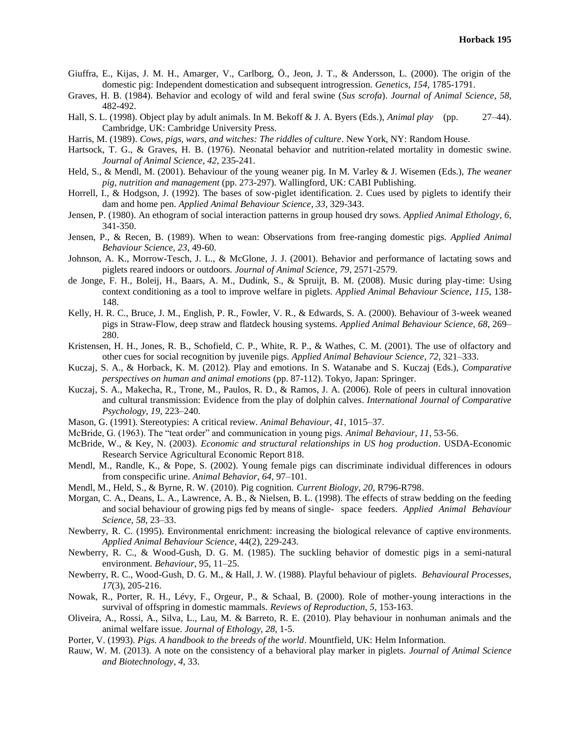- Giuffra, E., Kijas, J. M. H., Amarger, V., Carlborg, Ö., Jeon, J. T., & Andersson, L. (2000). The origin of the domestic pig: Independent domestication and subsequent introgression. *Genetics*, *154*, 1785-1791.
- Graves, H. B. (1984). Behavior and ecology of wild and feral swine (*Sus scrofa*). *Journal of Animal Science*, *58*, 482-492.
- Hall, S. L. (1998). Object play by adult animals. In M. Bekoff & J. A. Byers (Eds.), *Animal play* (pp. 27–44). Cambridge, UK: Cambridge University Press.
- Harris, M. (1989). *Cows, pigs, wars, and witches: The riddles of culture*. New York, NY: Random House.
- Hartsock, T. G., & Graves, H. B. (1976). Neonatal behavior and nutrition-related mortality in domestic swine. *Journal of Animal Science*, *42*, 235-241.
- Held, S., & Mendl, M. (2001). Behaviour of the young weaner pig. In M. Varley & J. Wisemen (Eds.), *The weaner pig, nutrition and management* (pp. 273-297). Wallingford, UK: CABI Publishing.
- Horrell, I., & Hodgson, J. (1992). The bases of sow-piglet identification. 2. Cues used by piglets to identify their dam and home pen. *Applied Animal Behaviour Science*, *33*, 329-343.
- Jensen, P. (1980). An ethogram of social interaction patterns in group housed dry sows. *Applied Animal Ethology*, *6*, 341-350.
- Jensen, P., & Recen, B. (1989). When to wean: Observations from free-ranging domestic pigs. *Applied Animal Behaviour Science, 23*, 49-60.
- Johnson, A. K., Morrow-Tesch, J. L., & McGlone, J. J. (2001). Behavior and performance of lactating sows and piglets reared indoors or outdoors. *Journal of Animal Science*, *79*, 2571-2579.
- de Jonge, F. H., Boleij, H., Baars, A. M., Dudink, S., & Spruijt, B. M. (2008). Music during play-time: Using context conditioning as a tool to improve welfare in piglets. *Applied Animal Behaviour Science, 115*, 138- 148.
- Kelly, H. R. C., Bruce, J. M., English, P. R., Fowler, V. R., & Edwards, S. A. (2000). Behaviour of 3-week weaned pigs in Straw-Flow, deep straw and flatdeck housing systems. *Applied Animal Behaviour Science, 68*, 269– 280.
- Kristensen, H. H., Jones, R. B., Schofield, C. P., White, R. P., & Wathes, C. M. (2001). The use of olfactory and other cues for social recognition by juvenile pigs. *Applied Animal Behaviour Science*, *72*, 321–333.
- Kuczaj, S. A., & Horback, K. M. (2012). Play and emotions. In S. Watanabe and S. Kuczaj (Eds.), *Comparative perspectives on human and animal emotions* (pp. 87-112). Tokyo, Japan: Springer.
- Kuczaj, S. A., Makecha, R., Trone, M., Paulos, R. D., & Ramos, J. A. (2006). Role of peers in cultural innovation and cultural transmission: Evidence from the play of dolphin calves. *International Journal of Comparative Psychology, 19*, 223–240.
- Mason, G. (1991). Stereotypies: A critical review. *Animal Behaviour, 41*, 1015–37.
- McBride, G. (1963). The "teat order" and communication in young pigs. *Animal Behaviour*, *11*, 53-56.
- McBride, W., & Key, N. (2003). *Economic and structural relationships in US hog production*. USDA-Economic Research Service Agricultural Economic Report 818.
- Mendl, M., Randle, K., & Pope, S. (2002). Young female pigs can discriminate individual differences in odours from conspecific urine. *Animal Behavior*, *64*, 97–101.
- Mendl, M., Held, S., & Byrne, R. W. (2010). Pig cognition. *Current Biology*, *20*, R796-R798.
- Morgan, C. A., Deans, L. A., Lawrence, A. B., & Nielsen, B. L. (1998). The effects of straw bedding on the feeding and social behaviour of growing pigs fed by means of single- space feeders. *Applied Animal Behaviour Science, 58*, 23–33.
- Newberry, R. C. (1995). Environmental enrichment: increasing the biological relevance of captive environments. *Applied Animal Behaviour Science*, 44(2), 229-243.
- Newberry, R. C., & Wood-Gush, D. G. M. (1985). The suckling behavior of domestic pigs in a semi-natural environment. *Behaviour*, 95, 11–25.
- Newberry, R. C., Wood-Gush, D. G. M., & Hall, J. W. (1988). Playful behaviour of piglets. *Behavioural Processes*, *17*(3), 205-216.
- Nowak, R., Porter, R. H., Lévy, F., Orgeur, P., & Schaal, B. (2000). Role of mother-young interactions in the survival of offspring in domestic mammals. *Reviews of Reproduction*, *5*, 153-163.
- Oliveira, A., Rossi, A., Silva, L., Lau, M. & Barreto, R. E. (2010). Play behaviour in nonhuman animals and the animal welfare issue. *Journal of Ethology*, *28*, 1-5.
- Porter, V. (1993). *Pigs. A handbook to the breeds of the world*. Mountfield, UK: Helm Information.
- Rauw, W. M. (2013). A note on the consistency of a behavioral play marker in piglets. *Journal of Animal Science and Biotechnology*, *4*, 33.